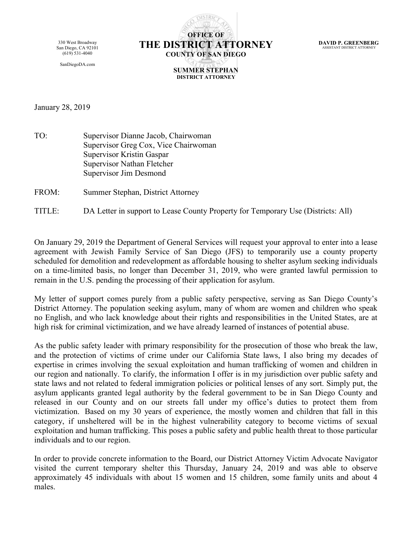330 West Broadway San Diego, CA 92101 (619) 531-4040

SanDiegoDA.com



**DAVID P. GREENBERG** ASSISTANT DISTRICT ATTORNEY

**SUMMER STEPHAN DISTRICT ATTORNEY**

January 28, 2019

TO: Supervisor Dianne Jacob, Chairwoman Supervisor Greg Cox, Vice Chairwoman Supervisor Kristin Gaspar Supervisor Nathan Fletcher Supervisor Jim Desmond

FROM: Summer Stephan, District Attorney

TITLE: DA Letter in support to Lease County Property for Temporary Use (Districts: All)

On January 29, 2019 the Department of General Services will request your approval to enter into a lease agreement with Jewish Family Service of San Diego (JFS) to temporarily use a county property scheduled for demolition and redevelopment as affordable housing to shelter asylum seeking individuals on a time-limited basis, no longer than December 31, 2019, who were granted lawful permission to remain in the U.S. pending the processing of their application for asylum.

My letter of support comes purely from a public safety perspective, serving as San Diego County's District Attorney. The population seeking asylum, many of whom are women and children who speak no English, and who lack knowledge about their rights and responsibilities in the United States, are at high risk for criminal victimization, and we have already learned of instances of potential abuse.

As the public safety leader with primary responsibility for the prosecution of those who break the law, and the protection of victims of crime under our California State laws, I also bring my decades of expertise in crimes involving the sexual exploitation and human trafficking of women and children in our region and nationally. To clarify, the information I offer is in my jurisdiction over public safety and state laws and not related to federal immigration policies or political lenses of any sort. Simply put, the asylum applicants granted legal authority by the federal government to be in San Diego County and released in our County and on our streets fall under my office's duties to protect them from victimization. Based on my 30 years of experience, the mostly women and children that fall in this category, if unsheltered will be in the highest vulnerability category to become victims of sexual exploitation and human trafficking. This poses a public safety and public health threat to those particular individuals and to our region.

In order to provide concrete information to the Board, our District Attorney Victim Advocate Navigator visited the current temporary shelter this Thursday, January 24, 2019 and was able to observe approximately 45 individuals with about 15 women and 15 children, some family units and about 4 males.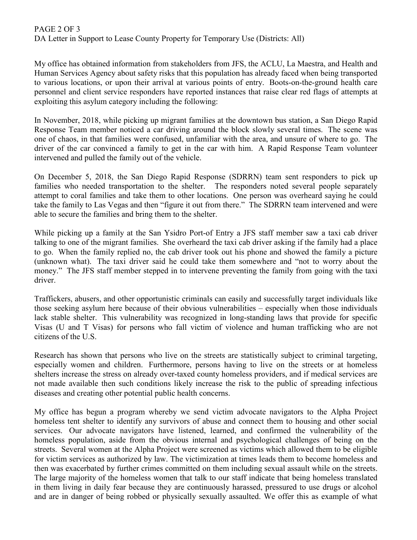## PAGE 2 OF 3 DA Letter in Support to Lease County Property for Temporary Use (Districts: All)

My office has obtained information from stakeholders from JFS, the ACLU, La Maestra, and Health and Human Services Agency about safety risks that this population has already faced when being transported to various locations, or upon their arrival at various points of entry. Boots-on-the-ground health care personnel and client service responders have reported instances that raise clear red flags of attempts at exploiting this asylum category including the following:

In November, 2018, while picking up migrant families at the downtown bus station, a San Diego Rapid Response Team member noticed a car driving around the block slowly several times. The scene was one of chaos, in that families were confused, unfamiliar with the area, and unsure of where to go. The driver of the car convinced a family to get in the car with him. A Rapid Response Team volunteer intervened and pulled the family out of the vehicle.

On December 5, 2018, the San Diego Rapid Response (SDRRN) team sent responders to pick up families who needed transportation to the shelter. The responders noted several people separately attempt to coral families and take them to other locations. One person was overheard saying he could take the family to Las Vegas and then "figure it out from there." The SDRRN team intervened and were able to secure the families and bring them to the shelter.

While picking up a family at the San Ysidro Port-of Entry a JFS staff member saw a taxi cab driver talking to one of the migrant families. She overheard the taxi cab driver asking if the family had a place to go. When the family replied no, the cab driver took out his phone and showed the family a picture (unknown what). The taxi driver said he could take them somewhere and "not to worry about the money." The JFS staff member stepped in to intervene preventing the family from going with the taxi driver.

Traffickers, abusers, and other opportunistic criminals can easily and successfully target individuals like those seeking asylum here because of their obvious vulnerabilities – especially when those individuals lack stable shelter. This vulnerability was recognized in long-standing laws that provide for specific Visas (U and T Visas) for persons who fall victim of violence and human trafficking who are not citizens of the U.S.

Research has shown that persons who live on the streets are statistically subject to criminal targeting, especially women and children. Furthermore, persons having to live on the streets or at homeless shelters increase the stress on already over-taxed county homeless providers, and if medical services are not made available then such conditions likely increase the risk to the public of spreading infectious diseases and creating other potential public health concerns.

My office has begun a program whereby we send victim advocate navigators to the Alpha Project homeless tent shelter to identify any survivors of abuse and connect them to housing and other social services. Our advocate navigators have listened, learned, and confirmed the vulnerability of the homeless population, aside from the obvious internal and psychological challenges of being on the streets. Several women at the Alpha Project were screened as victims which allowed them to be eligible for victim services as authorized by law. The victimization at times leads them to become homeless and then was exacerbated by further crimes committed on them including sexual assault while on the streets. The large majority of the homeless women that talk to our staff indicate that being homeless translated in them living in daily fear because they are continuously harassed, pressured to use drugs or alcohol and are in danger of being robbed or physically sexually assaulted. We offer this as example of what